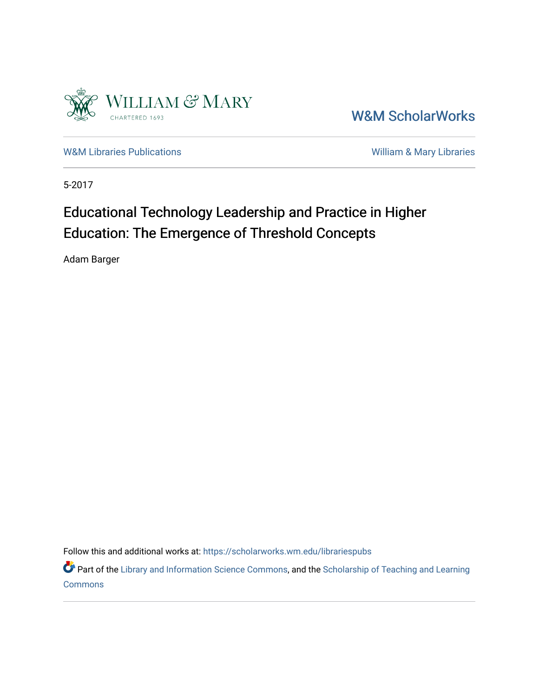

[W&M ScholarWorks](https://scholarworks.wm.edu/) 

[W&M Libraries Publications](https://scholarworks.wm.edu/librariespubs) **William & Mary Libraries** William & Mary Libraries

5-2017

# Educational Technology Leadership and Practice in Higher Education: The Emergence of Threshold Concepts

Adam Barger

Follow this and additional works at: [https://scholarworks.wm.edu/librariespubs](https://scholarworks.wm.edu/librariespubs?utm_source=scholarworks.wm.edu%2Flibrariespubs%2F91&utm_medium=PDF&utm_campaign=PDFCoverPages)

Part of the [Library and Information Science Commons,](http://network.bepress.com/hgg/discipline/1018?utm_source=scholarworks.wm.edu%2Flibrariespubs%2F91&utm_medium=PDF&utm_campaign=PDFCoverPages) and the Scholarship of Teaching and Learning **[Commons](http://network.bepress.com/hgg/discipline/1328?utm_source=scholarworks.wm.edu%2Flibrariespubs%2F91&utm_medium=PDF&utm_campaign=PDFCoverPages)**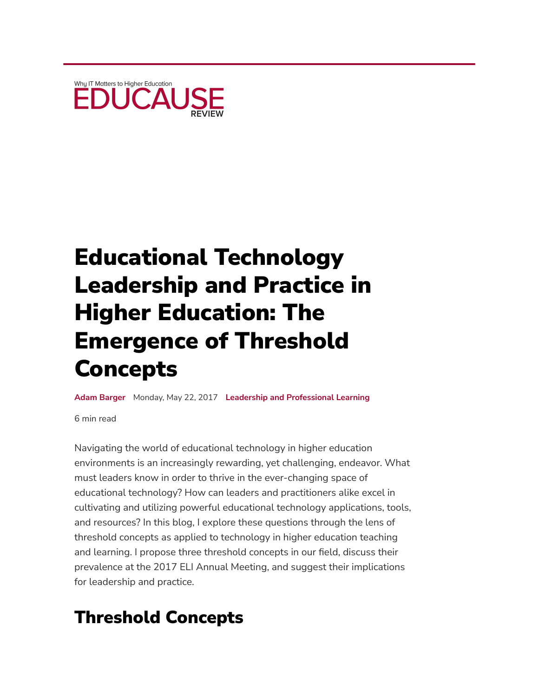

# Educational Technology Leadership and Practice in Higher Education: The Emergence of Threshold Concepts

**Adam [Barger](https://members.educause.edu/adam-barger)** Monday, May 22, 2017 **[Leadership and Professional](https://er.educause.edu/channels/leadership-professional-learning) Learning**

6 min read

Navigating the world of educational technology in higher education environments is an increasingly rewarding, yet challenging, endeavor. What must leaders know in order to thrive in the ever-changing space of educational technology? How can leaders and practitioners alike excel in cultivating and utilizing powerful educational technology applications, tools, and resources? In this blog, I explore these questions through the lens of threshold concepts as applied to technology in higher education teaching and learning. I propose three threshold concepts in our field, discuss their prevalence at the 2017 ELI Annual Meeting, and suggest their implications for leadership and practice.

# Threshold Concepts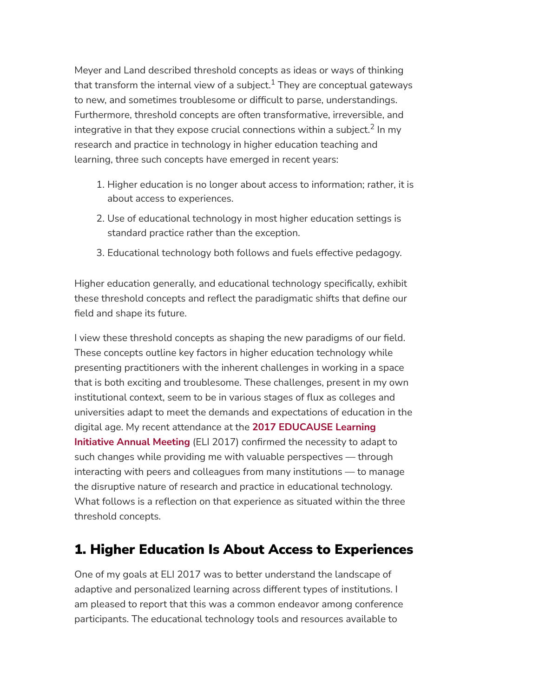Meyer and Land described threshold concepts as ideas or ways of thinking that transform the internal view of a subject. $^1$  They are conceptual gateways to new, and sometimes troublesome or difficult to parse, understandings. Furthermore, threshold concepts are often transformative, irreversible, and integrative in that they expose crucial connections within a subject. $^2$  In my research and practice in technology in higher education teaching and learning, three such concepts have emerged in recent years:

- 1. Higher education is no longer about access to information; rather, it is about access to experiences.
- 2. Use of educational technology in most higher education settings is standard practice rather than the exception.
- 3. Educational technology both follows and fuels effective pedagogy.

Higher education generally, and educational technology specifically, exhibit these threshold concepts and reflect the paradigmatic shifts that define our field and shape its future.

I view these threshold concepts as shaping the new paradigms of our field. These concepts outline key factors in higher education technology while presenting practitioners with the inherent challenges in working in a space that is both exciting and troublesome. These challenges, present in my own institutional context, seem to be in various stages of flux as colleges and universities adapt to meet the demands and expectations of education in the digital age. My recent attendance at the **2017 [EDUCAUSE](https://events.educause.edu/eli/annual-meeting/2017) Learning Initiative Annual Meeting** (ELI 2017) confirmed the necessity to adapt to such changes while providing me with valuable perspectives — through interacting with peers and colleagues from many institutions — to manage the disruptive nature of research and practice in educational technology. What follows is a reflection on that experience as situated within the three threshold concepts.

### 1. Higher Education Is About Access to Experiences

One of my goals at ELI 2017 was to better understand the landscape of adaptive and personalized learning across different types of institutions. I am pleased to report that this was a common endeavor among conference participants. The educational technology tools and resources available to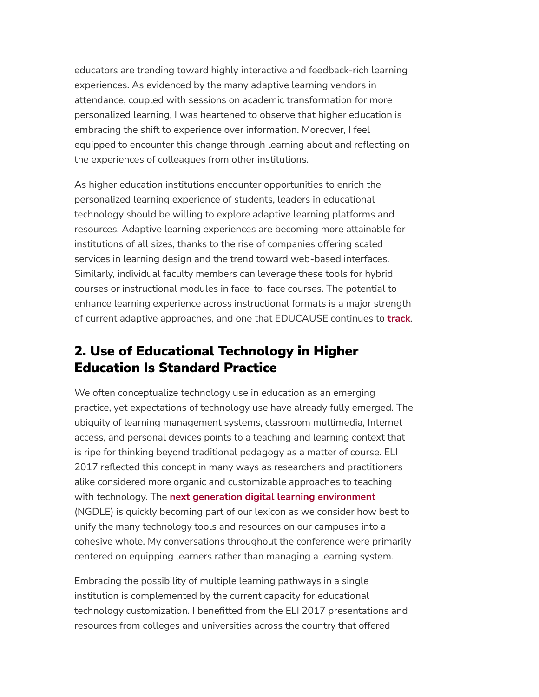educators are trending toward highly interactive and feedback-rich learning experiences. As evidenced by the many adaptive learning vendors in attendance, coupled with sessions on academic transformation for more personalized learning, I was heartened to observe that higher education is embracing the shift to experience over information. Moreover, I feel equipped to encounter this change through learning about and reflecting on the experiences of colleagues from other institutions.

As higher education institutions encounter opportunities to enrich the personalized learning experience of students, leaders in educational technology should be willing to explore adaptive learning platforms and resources. Adaptive learning experiences are becoming more attainable for institutions of all sizes, thanks to the rise of companies offering scaled services in learning design and the trend toward web-based interfaces. Similarly, individual faculty members can leverage these tools for hybrid courses or instructional modules in face-to-face courses. The potential to enhance learning experience across instructional formats is a major strength of current adaptive approaches, and one that EDUCAUSE continues to **[track](https://library.educause.edu/resources/2017/1/7-things-you-should-know-about-adaptive-learning)**.

### 2. Use of Educational Technology in Higher Education Is Standard Practice

We often conceptualize technology use in education as an emerging practice, yet expectations of technology use have already fully emerged. The ubiquity of learning management systems, classroom multimedia, Internet access, and personal devices points to a teaching and learning context that is ripe for thinking beyond traditional pedagogy as a matter of course. ELI 2017 reflected this concept in many ways as researchers and practitioners alike considered more organic and customizable approaches to teaching with technology. The **next generation digital learning [environment](https://library.educause.edu/resources/2014/9/next-generation-digital-learning-environment-initiative)** (NGDLE) is quickly becoming part of our lexicon as we consider how best to unify the many technology tools and resources on our campuses into a cohesive whole. My conversations throughout the conference were primarily centered on equipping learners rather than managing a learning system.

Embracing the possibility of multiple learning pathways in a single institution is complemented by the current capacity for educational technology customization. I benefitted from the ELI 2017 presentations and resources from colleges and universities across the country that offered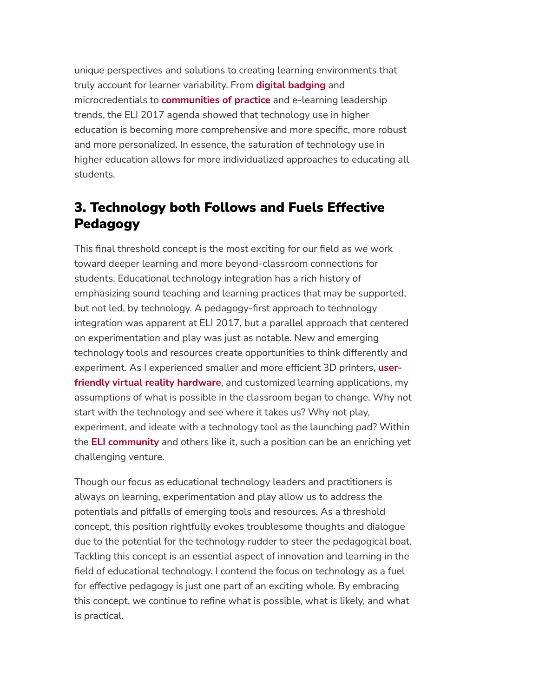unique perspectives and solutions to creating learning environments that truly account for learner variability. From **digital [badging](https://events.educause.edu/eli/annual-meeting/2017/agenda/transforming-acknowledgment-of-achievements-through-badging-a-systemwide-initiative-to-validate-students-careerready-skills)** and microcredentials to **[communities](https://events.educause.edu/eli/annual-meeting/2017/agenda/communities-of-practice-at-work-collaborating-across-institutions) of practice** and e-learning leadership trends, the ELI 2017 agenda showed that technology use in higher education is becoming more comprehensive and more specific, more robust and more personalized. In essence, the saturation of technology use in higher education allows for more individualized approaches to educating all students.

### 3. Technology both Follows and Fuels Effective Pedagogy

This final threshold concept is the most exciting for our field as we work toward deeper learning and more beyond-classroom connections for students. Educational technology integration has a rich history of emphasizing sound teaching and learning practices that may be supported, but not led, by technology. A pedagogy-first approach to technology integration was apparent at ELI 2017, but a parallel approach that centered on experimentation and play was just as notable. New and emerging technology tools and resources create opportunities to think differently and experiment. As I experienced smaller and more efficient 3D printers, **userfriendly virtual reality hardware**, and customized learning [applications,](https://events.educause.edu/eli/annual-meeting/2017/agenda/virtual-reality-and-emerging-tech-playground-creative-workflows-for-3d-scanning-1) my assumptions of what is possible in the classroom began to change. Why not start with the technology and see where it takes us? Why not play, experiment, and ideate with a technology tool as the launching pad? Within the **ELI [community](https://www.educause.edu/eli/initiatives/leading-academic-transformation)** and others like it, such a position can be an enriching yet challenging venture.

Though our focus as educational technology leaders and practitioners is always on learning, experimentation and play allow us to address the potentials and pitfalls of emerging tools and resources. As a threshold concept, this position rightfully evokes troublesome thoughts and dialogue due to the potential for the technology rudder to steer the pedagogical boat. Tackling this concept is an essential aspect of innovation and learning in the field of educational technology. I contend the focus on technology as a fuel for effective pedagogy is just one part of an exciting whole. By embracing this concept, we continue to refine what is possible, what is likely, and what is practical.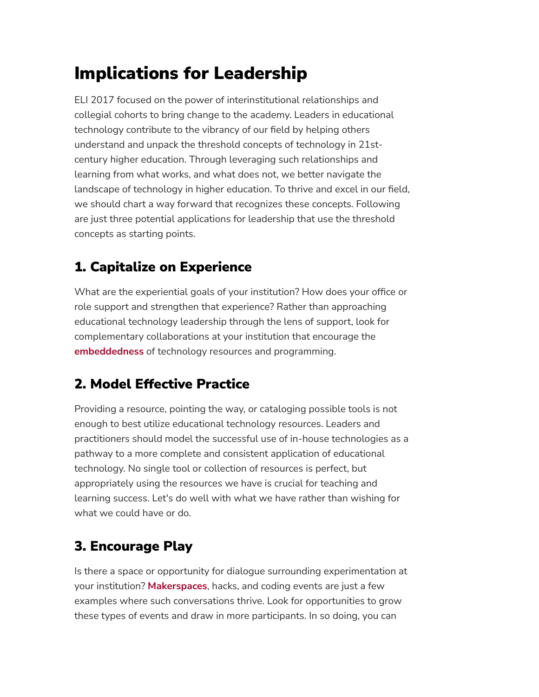# Implications for Leadership

ELI 2017 focused on the power of interinstitutional relationships and collegial cohorts to bring change to the academy. Leaders in educational technology contribute to the vibrancy of our field by helping others understand and unpack the threshold concepts of technology in 21stcentury higher education. Through leveraging such relationships and learning from what works, and what does not, we better navigate the landscape of technology in higher education. To thrive and excel in our field, we should chart a way forward that recognizes these concepts. Following are just three potential applications for leadership that use the threshold concepts as starting points.

### 1. Capitalize on Experience

What are the experiential goals of your institution? How does your office or role support and strengthen that experience? Rather than approaching educational technology leadership through the lens of support, look for complementary collaborations at your institution that encourage the **[embeddedness](https://events.educause.edu/eli/annual-meeting/2017/agenda/presentation-pair-academic-transformation)** of technology resources and programming.

# 2. Model Effective Practice

Providing a resource, pointing the way, or cataloging possible tools is not enough to best utilize educational technology resources. Leaders and practitioners should model the successful use of in-house technologies as a pathway to a more complete and consistent application of educational technology. No single tool or collection of resources is perfect, but appropriately using the resources we have is crucial for teaching and learning success. Let's do well with what we have rather than wishing for what we could have or do.

# 3. Encourage Play

Is there a space or opportunity for dialogue surrounding experimentation at your institution? **[Makerspaces](https://library.educause.edu/resources/2013/4/7-things-you-should-know-about-makerspaces)**, hacks, and coding events are just a few examples where such conversations thrive. Look for opportunities to grow these types of events and draw in more participants. In so doing, you can